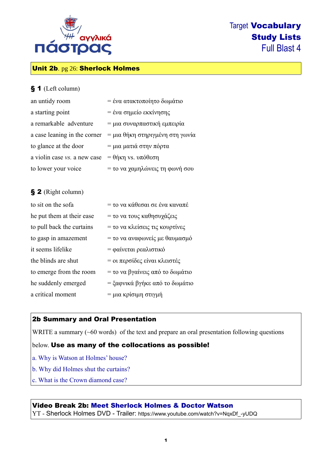

# Unit 2b. pg 26: Sherlock Holmes

#### § 1 (Left column)

| an untidy room               | = ένα ατακτοποίητο δωμάτιο      |
|------------------------------|---------------------------------|
| a starting point             | = ένα σημείο εκκίνησης          |
| a remarkable adventure       | = μια συναρπαστική εμπειρία     |
| a case leaning in the corner | = μια θήκη στηριγμένη στη γωνία |
| to glance at the door        | = μια ματιά στην πόρτα          |
| a violin case vs. a new case | $= θ$ ήκη vs. υπόθεση           |
| to lower your voice          | = το να χαμηλώνεις τη φωνή σου  |

## § 2 (Right column)

| to sit on the sofa        | = το να κάθεσαι σε ένα καναπέ   |
|---------------------------|---------------------------------|
| he put them at their ease | = το να τους καθησυχάζεις       |
| to pull back the curtains | = το να κλείσεις τις κουρτίνες  |
| to gasp in amazement      | = το να αναφωνείς με θαυμασμό   |
| it seems lifelike         | = φαίνεται ρεαλιστικό           |
| the blinds are shut       | = οι περσίδες είναι κλειστές    |
| to emerge from the room   | = το να βγαίνεις από το δωμάτιο |
| he suddenly emerged       | = ξαφνικά βγήκε από το δωμάτιο  |
| a critical moment         | = μια κρίσιμη στιγμή            |

## 2b Summary and Oral Presentation

WRITE a summary (~60 words) of the text and prepare an oral presentation following questions

#### below. Use as many of the collocations as possible!

- a. Why is Watson at Holmes' house?
- b. Why did Holmes shut the curtains?
- c. What is the Crown diamond case?

# Video Break 2b: Meet Sherlock Holmes & Doctor Watson

YT - Sherlock Holmes DVD - Trailer: https://www.youtube.com/watch?v=NqxDf\_-yUDQ